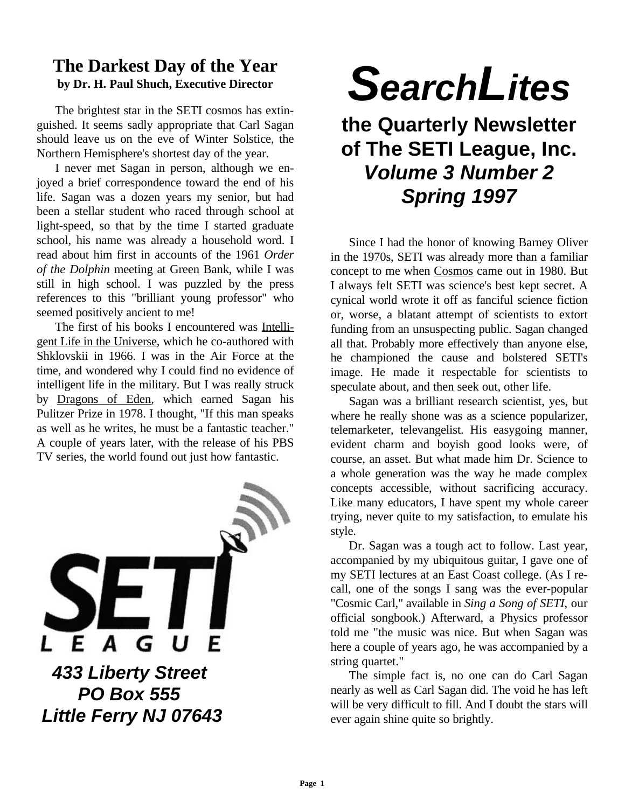## **The Darkest Day of the Year by Dr. H. Paul Shuch, Executive Director**

The brightest star in the SETI cosmos has extinguished. It seems sadly appropriate that Carl Sagan should leave us on the eve of Winter Solstice, the Northern Hemisphere's shortest day of the year.

I never met Sagan in person, although we enjoyed a brief correspondence toward the end of his life. Sagan was a dozen years my senior, but had been a stellar student who raced through school at light-speed, so that by the time I started graduate school, his name was already a household word. I read about him first in accounts of the 1961 *Order of the Dolphin* meeting at Green Bank, while I was still in high school. I was puzzled by the press references to this "brilliant young professor" who seemed positively ancient to me!

The first of his books I encountered was Intelligent Life in the Universe, which he co-authored with Shklovskii in 1966. I was in the Air Force at the time, and wondered why I could find no evidence of intelligent life in the military. But I was really struck by Dragons of Eden, which earned Sagan his Pulitzer Prize in 1978. I thought, "If this man speaks as well as he writes, he must be a fantastic teacher." A couple of years later, with the release of his PBS TV series, the world found out just how fantastic.



# *SearchLites*

## **the Quarterly Newsletter of The SETI League, Inc.** *Volume 3 Number 2 Spring 1997*

Since I had the honor of knowing Barney Oliver in the 1970s, SETI was already more than a familiar concept to me when Cosmos came out in 1980. But I always felt SETI was science's best kept secret. A cynical world wrote it off as fanciful science fiction or, worse, a blatant attempt of scientists to extort funding from an unsuspecting public. Sagan changed all that. Probably more effectively than anyone else, he championed the cause and bolstered SETI's image. He made it respectable for scientists to speculate about, and then seek out, other life.

Sagan was a brilliant research scientist, yes, but where he really shone was as a science popularizer, telemarketer, televangelist. His easygoing manner, evident charm and boyish good looks were, of course, an asset. But what made him Dr. Science to a whole generation was the way he made complex concepts accessible, without sacrificing accuracy. Like many educators, I have spent my whole career trying, never quite to my satisfaction, to emulate his style.

Dr. Sagan was a tough act to follow. Last year, accompanied by my ubiquitous guitar, I gave one of my SETI lectures at an East Coast college. (As I recall, one of the songs I sang was the ever-popular "Cosmic Carl," available in *Sing a Song of SETI*, our official songbook.) Afterward, a Physics professor told me "the music was nice. But when Sagan was here a couple of years ago, he was accompanied by a string quartet."

The simple fact is, no one can do Carl Sagan nearly as well as Carl Sagan did. The void he has left will be very difficult to fill. And I doubt the stars will ever again shine quite so brightly.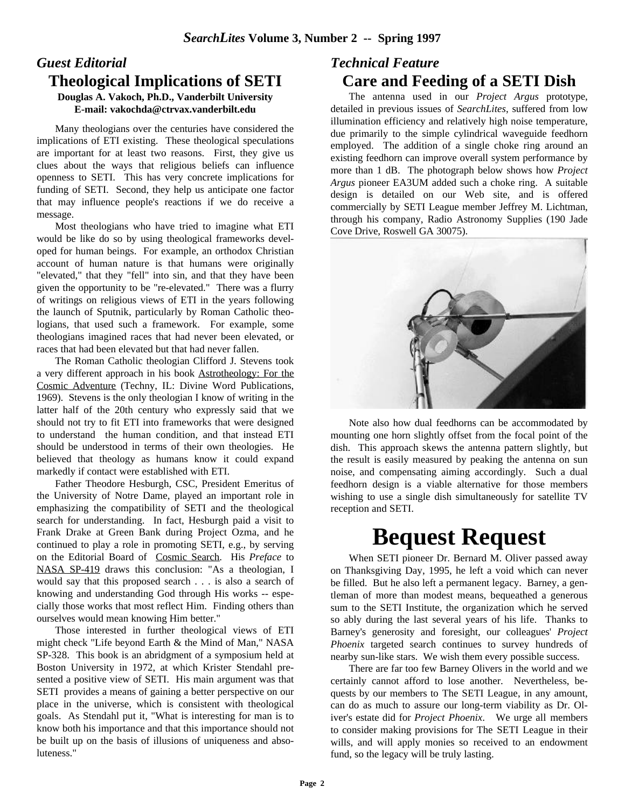#### *Guest Editorial* **Theological Implications of SETI Douglas A. Vakoch, Ph.D., Vanderbilt University E-mail: vakochda@ctrvax.vanderbilt.edu**

Many theologians over the centuries have considered the implications of ETI existing. These theological speculations are important for at least two reasons. First, they give us clues about the ways that religious beliefs can influence openness to SETI. This has very concrete implications for funding of SETI. Second, they help us anticipate one factor that may influence people's reactions if we do receive a message.

Most theologians who have tried to imagine what ETI would be like do so by using theological frameworks developed for human beings. For example, an orthodox Christian account of human nature is that humans were originally "elevated," that they "fell" into sin, and that they have been given the opportunity to be "re-elevated." There was a flurry of writings on religious views of ETI in the years following the launch of Sputnik, particularly by Roman Catholic theologians, that used such a framework. For example, some theologians imagined races that had never been elevated, or races that had been elevated but that had never fallen.

The Roman Catholic theologian Clifford J. Stevens took a very different approach in his book Astrotheology: For the Cosmic Adventure (Techny, IL: Divine Word Publications, 1969). Stevens is the only theologian I know of writing in the latter half of the 20th century who expressly said that we should not try to fit ETI into frameworks that were designed to understand the human condition, and that instead ETI should be understood in terms of their own theologies. He believed that theology as humans know it could expand markedly if contact were established with ETI.

Father Theodore Hesburgh, CSC, President Emeritus of the University of Notre Dame, played an important role in emphasizing the compatibility of SETI and the theological search for understanding. In fact, Hesburgh paid a visit to Frank Drake at Green Bank during Project Ozma, and he continued to play a role in promoting SETI, e.g., by serving on the Editorial Board of Cosmic Search. His *Preface* to NASA SP-419 draws this conclusion: "As a theologian, I would say that this proposed search . . . is also a search of knowing and understanding God through His works -- especially those works that most reflect Him. Finding others than ourselves would mean knowing Him better."

Those interested in further theological views of ETI might check "Life beyond Earth & the Mind of Man," NASA SP-328. This book is an abridgment of a symposium held at Boston University in 1972, at which Krister Stendahl presented a positive view of SETI. His main argument was that SETI provides a means of gaining a better perspective on our place in the universe, which is consistent with theological goals. As Stendahl put it, "What is interesting for man is to know both his importance and that this importance should not be built up on the basis of illusions of uniqueness and absoluteness."

## *Technical Feature* **Care and Feeding of a SETI Dish**

The antenna used in our *Project Argus* prototype, detailed in previous issues of *SearchLites*, suffered from low illumination efficiency and relatively high noise temperature, due primarily to the simple cylindrical waveguide feedhorn employed. The addition of a single choke ring around an existing feedhorn can improve overall system performance by more than 1 dB. The photograph below shows how *Project Argus* pioneer EA3UM added such a choke ring. A suitable design is detailed on our Web site, and is offered commercially by SETI League member Jeffrey M. Lichtman, through his company, Radio Astronomy Supplies (190 Jade Cove Drive, Roswell GA 30075).



Note also how dual feedhorns can be accommodated by mounting one horn slightly offset from the focal point of the dish. This approach skews the antenna pattern slightly, but the result is easily measured by peaking the antenna on sun noise, and compensating aiming accordingly. Such a dual feedhorn design is a viable alternative for those members wishing to use a single dish simultaneously for satellite TV reception and SETI.

# **Bequest Request**

When SETI pioneer Dr. Bernard M. Oliver passed away on Thanksgiving Day, 1995, he left a void which can never be filled. But he also left a permanent legacy. Barney, a gentleman of more than modest means, bequeathed a generous sum to the SETI Institute, the organization which he served so ably during the last several years of his life. Thanks to Barney's generosity and foresight, our colleagues' *Project Phoenix* targeted search continues to survey hundreds of nearby sun-like stars. We wish them every possible success.

There are far too few Barney Olivers in the world and we certainly cannot afford to lose another. Nevertheless, bequests by our members to The SETI League, in any amount, can do as much to assure our long-term viability as Dr. Oliver's estate did for *Project Phoenix*. We urge all members to consider making provisions for The SETI League in their wills, and will apply monies so received to an endowment fund, so the legacy will be truly lasting.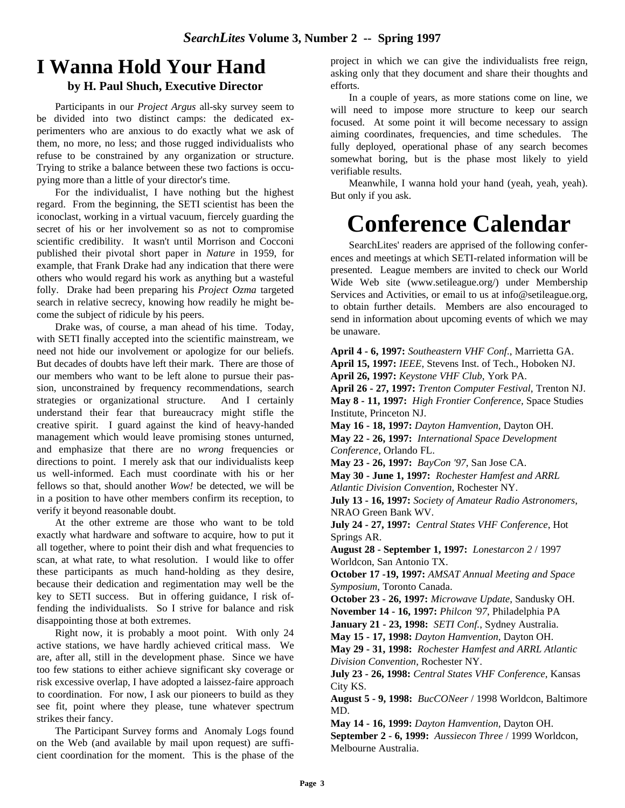## **I Wanna Hold Your Hand**

#### **by H. Paul Shuch, Executive Director**

Participants in our *Project Argus* all-sky survey seem to be divided into two distinct camps: the dedicated experimenters who are anxious to do exactly what we ask of them, no more, no less; and those rugged individualists who refuse to be constrained by any organization or structure. Trying to strike a balance between these two factions is occupying more than a little of your director's time.

For the individualist, I have nothing but the highest regard. From the beginning, the SETI scientist has been the iconoclast, working in a virtual vacuum, fiercely guarding the secret of his or her involvement so as not to compromise scientific credibility. It wasn't until Morrison and Cocconi published their pivotal short paper in *Nature* in 1959, for example, that Frank Drake had any indication that there were others who would regard his work as anything but a wasteful folly. Drake had been preparing his *Project Ozma* targeted search in relative secrecy, knowing how readily he might become the subject of ridicule by his peers.

Drake was, of course, a man ahead of his time. Today, with SETI finally accepted into the scientific mainstream, we need not hide our involvement or apologize for our beliefs. But decades of doubts have left their mark. There are those of our members who want to be left alone to pursue their passion, unconstrained by frequency recommendations, search strategies or organizational structure. And I certainly understand their fear that bureaucracy might stifle the creative spirit. I guard against the kind of heavy-handed management which would leave promising stones unturned, and emphasize that there are no *wrong* frequencies or directions to point. I merely ask that our individualists keep us well-informed. Each must coordinate with his or her fellows so that, should another *Wow!* be detected, we will be in a position to have other members confirm its reception, to verify it beyond reasonable doubt.

At the other extreme are those who want to be told exactly what hardware and software to acquire, how to put it all together, where to point their dish and what frequencies to scan, at what rate, to what resolution. I would like to offer these participants as much hand-holding as they desire, because their dedication and regimentation may well be the key to SETI success. But in offering guidance, I risk offending the individualists. So I strive for balance and risk disappointing those at both extremes.

Right now, it is probably a moot point. With only 24 active stations, we have hardly achieved critical mass. We are, after all, still in the development phase. Since we have too few stations to either achieve significant sky coverage or risk excessive overlap, I have adopted a laissez-faire approach to coordination. For now, I ask our pioneers to build as they see fit, point where they please, tune whatever spectrum strikes their fancy.

The Participant Survey forms and Anomaly Logs found on the Web (and available by mail upon request) are sufficient coordination for the moment. This is the phase of the

project in which we can give the individualists free reign, asking only that they document and share their thoughts and efforts.

In a couple of years, as more stations come on line, we will need to impose more structure to keep our search focused. At some point it will become necessary to assign aiming coordinates, frequencies, and time schedules. The fully deployed, operational phase of any search becomes somewhat boring, but is the phase most likely to yield verifiable results.

Meanwhile, I wanna hold your hand (yeah, yeah, yeah). But only if you ask.

# **Conference Calendar**

SearchLites' readers are apprised of the following conferences and meetings at which SETI-related information will be presented. League members are invited to check our World Wide Web site (www.setileague.org/) under Membership Services and Activities, or email to us at info@setileague.org, to obtain further details. Members are also encouraged to send in information about upcoming events of which we may be unaware.

**April 4 - 6, 1997:** *Southeastern VHF Conf*., Marrietta GA. **April 15, 1997:** *IEEE*, Stevens Inst. of Tech., Hoboken NJ. **April 26, 1997:** *Keystone VHF Club*, York PA. **April 26 - 27, 1997:** *Trenton Computer Festival*, Trenton NJ. **May 8 - 11, 1997:** *High Frontier Conference,* Space Studies Institute, Princeton NJ. **May 16 - 18, 1997:** *Dayton Hamvention*, Dayton OH. **May 22 - 26, 1997:** *International Space Development Conference*, Orlando FL. **May 23 - 26, 1997:** *BayCon '97*, San Jose CA. **May 30 - June 1, 1997:** *Rochester Hamfest and ARRL Atlantic Division Convention*, Rochester NY. **July 13 - 16, 1997:** *Society of Amateur Radio Astronomers*, NRAO Green Bank WV. **July 24 - 27, 1997:** *Central States VHF Conference*, Hot Springs AR. **August 28 - September 1, 1997:** *Lonestarcon 2* / 1997 Worldcon, San Antonio TX. **October 17 -19, 1997:** *AMSAT Annual Meeting and Space Symposium*, Toronto Canada. **October 23 - 26, 1997:** *Microwave Update*, Sandusky OH. **November 14 - 16, 1997:** *Philcon '97*, Philadelphia PA **January 21 - 23, 1998:** *SETI Conf.*, Sydney Australia. **May 15 - 17, 1998:** *Dayton Hamvention*, Dayton OH. **May 29 - 31, 1998:** *Rochester Hamfest and ARRL Atlantic Division Convention*, Rochester NY. **July 23 - 26, 1998:** *Central States VHF Conference*, Kansas City KS. **August 5 - 9, 1998:** *BucCONeer* / 1998 Worldcon, Baltimore MD. **May 14 - 16, 1999:** *Dayton Hamvention*, Dayton OH.

**September 2 - 6, 1999:** *Aussiecon Three* / 1999 Worldcon, Melbourne Australia.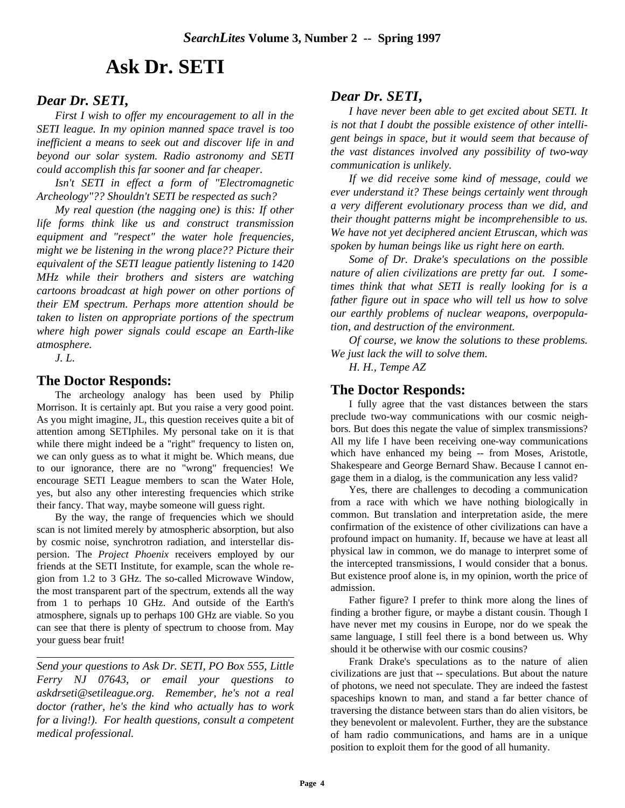## **Ask Dr. SETI**

## *Dear Dr. SETI***,**

*First I wish to offer my encouragement to all in the SETI league. In my opinion manned space travel is too inefficient a means to seek out and discover life in and beyond our solar system. Radio astronomy and SETI could accomplish this far sooner and far cheaper.*

*Isn't SETI in effect a form of "Electromagnetic Archeology"?? Shouldn't SETI be respected as such?*

*My real question (the nagging one) is this: If other life forms think like us and construct transmission equipment and "respect" the water hole frequencies, might we be listening in the wrong place?? Picture their equivalent of the SETI league patiently listening to 1420 MHz while their brothers and sisters are watching cartoons broadcast at high power on other portions of their EM spectrum. Perhaps more attention should be taken to listen on appropriate portions of the spectrum where high power signals could escape an Earth-like atmosphere.*

*J. L.*

#### **The Doctor Responds:**

The archeology analogy has been used by Philip Morrison. It is certainly apt. But you raise a very good point. As you might imagine, JL, this question receives quite a bit of attention among SETIphiles. My personal take on it is that while there might indeed be a "right" frequency to listen on, we can only guess as to what it might be. Which means, due to our ignorance, there are no "wrong" frequencies! We encourage SETI League members to scan the Water Hole, yes, but also any other interesting frequencies which strike their fancy. That way, maybe someone will guess right.

By the way, the range of frequencies which we should scan is not limited merely by atmospheric absorption, but also by cosmic noise, synchrotron radiation, and interstellar dispersion. The *Project Phoenix* receivers employed by our friends at the SETI Institute, for example, scan the whole region from 1.2 to 3 GHz. The so-called Microwave Window, the most transparent part of the spectrum, extends all the way from 1 to perhaps 10 GHz. And outside of the Earth's atmosphere, signals up to perhaps 100 GHz are viable. So you can see that there is plenty of spectrum to choose from. May your guess bear fruit!

*Send your questions to Ask Dr. SETI, PO Box 555, Little Ferry NJ 07643, or email your questions to askdrseti@setileague.org. Remember, he's not a real doctor (rather, he's the kind who actually has to work for a living!). For health questions, consult a competent medical professional.*

## *Dear Dr. SETI***,**

*I have never been able to get excited about SETI. It is not that I doubt the possible existence of other intelligent beings in space, but it would seem that because of the vast distances involved any possibility of two-way communication is unlikely.*

*If we did receive some kind of message, could we ever understand it? These beings certainly went through a very different evolutionary process than we did, and their thought patterns might be incomprehensible to us. We have not yet deciphered ancient Etruscan, which was spoken by human beings like us right here on earth.*

*Some of Dr. Drake's speculations on the possible nature of alien civilizations are pretty far out. I sometimes think that what SETI is really looking for is a father figure out in space who will tell us how to solve our earthly problems of nuclear weapons, overpopulation, and destruction of the environment.*

*Of course, we know the solutions to these problems. We just lack the will to solve them.*

*H. H., Tempe AZ*

#### **The Doctor Responds:**

I fully agree that the vast distances between the stars preclude two-way communications with our cosmic neighbors. But does this negate the value of simplex transmissions? All my life I have been receiving one-way communications which have enhanced my being -- from Moses, Aristotle, Shakespeare and George Bernard Shaw. Because I cannot engage them in a dialog, is the communication any less valid?

Yes, there are challenges to decoding a communication from a race with which we have nothing biologically in common. But translation and interpretation aside, the mere confirmation of the existence of other civilizations can have a profound impact on humanity. If, because we have at least all physical law in common, we do manage to interpret some of the intercepted transmissions, I would consider that a bonus. But existence proof alone is, in my opinion, worth the price of admission.

Father figure? I prefer to think more along the lines of finding a brother figure, or maybe a distant cousin. Though I have never met my cousins in Europe, nor do we speak the same language, I still feel there is a bond between us. Why should it be otherwise with our cosmic cousins?

Frank Drake's speculations as to the nature of alien civilizations are just that -- speculations. But about the nature of photons, we need not speculate. They are indeed the fastest spaceships known to man, and stand a far better chance of traversing the distance between stars than do alien visitors, be they benevolent or malevolent. Further, they are the substance of ham radio communications, and hams are in a unique position to exploit them for the good of all humanity.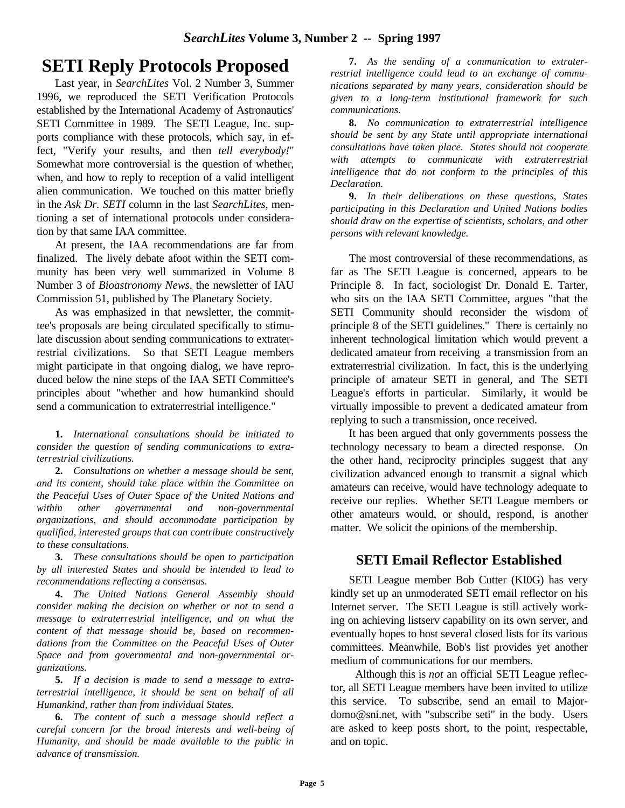## **SETI Reply Protocols Proposed**

Last year, in *SearchLites* Vol. 2 Number 3, Summer 1996, we reproduced the SETI Verification Protocols established by the International Academy of Astronautics' SETI Committee in 1989. The SETI League, Inc. supports compliance with these protocols, which say, in effect, "Verify your results, and then *tell everybody!*" Somewhat more controversial is the question of whether, when, and how to reply to reception of a valid intelligent alien communication. We touched on this matter briefly in the *Ask Dr. SETI* column in the last *SearchLites*, mentioning a set of international protocols under consideration by that same IAA committee.

At present, the IAA recommendations are far from finalized. The lively debate afoot within the SETI community has been very well summarized in Volume 8 Number 3 of *Bioastronomy News*, the newsletter of IAU Commission 51, published by The Planetary Society.

As was emphasized in that newsletter, the committee's proposals are being circulated specifically to stimulate discussion about sending communications to extraterrestrial civilizations. So that SETI League members might participate in that ongoing dialog, we have reproduced below the nine steps of the IAA SETI Committee's principles about "whether and how humankind should send a communication to extraterrestrial intelligence."

**1.** *International consultations should be initiated to consider the question of sending communications to extraterrestrial civilizations.*

**2.** *Consultations on whether a message should be sent, and its content, should take place within the Committee on the Peaceful Uses of Outer Space of the United Nations and within other governmental and non-governmental organizations, and should accommodate participation by qualified, interested groups that can contribute constructively to these consultations.*

**3.** *These consultations should be open to participation by all interested States and should be intended to lead to recommendations reflecting a consensus.*

**4.** *The United Nations General Assembly should consider making the decision on whether or not to send a message to extraterrestrial intelligence, and on what the content of that message should be, based on recommendations from the Committee on the Peaceful Uses of Outer Space and from governmental and non-governmental organizations.*

**5.** *If a decision is made to send a message to extraterrestrial intelligence, it should be sent on behalf of all Humankind, rather than from individual States.*

**6.** *The content of such a message should reflect a careful concern for the broad interests and well-being of Humanity, and should be made available to the public in advance of transmission.*

**7.** *As the sending of a communication to extraterrestrial intelligence could lead to an exchange of communications separated by many years, consideration should be given to a long-term institutional framework for such communications.*

**8.** *No communication to extraterrestrial intelligence should be sent by any State until appropriate international consultations have taken place. States should not cooperate with attempts to communicate with extraterrestrial intelligence that do not conform to the principles of this Declaration.*

**9.** *In their deliberations on these questions, States participating in this Declaration and United Nations bodies should draw on the expertise of scientists, scholars, and other persons with relevant knowledge.*

The most controversial of these recommendations, as far as The SETI League is concerned, appears to be Principle 8. In fact, sociologist Dr. Donald E. Tarter, who sits on the IAA SETI Committee, argues "that the SETI Community should reconsider the wisdom of principle 8 of the SETI guidelines." There is certainly no inherent technological limitation which would prevent a dedicated amateur from receiving a transmission from an extraterrestrial civilization. In fact, this is the underlying principle of amateur SETI in general, and The SETI League's efforts in particular. Similarly, it would be virtually impossible to prevent a dedicated amateur from replying to such a transmission, once received.

It has been argued that only governments possess the technology necessary to beam a directed response. On the other hand, reciprocity principles suggest that any civilization advanced enough to transmit a signal which amateurs can receive, would have technology adequate to receive our replies. Whether SETI League members or other amateurs would, or should, respond, is another matter. We solicit the opinions of the membership.

## **SETI Email Reflector Established**

SETI League member Bob Cutter (KI0G) has very kindly set up an unmoderated SETI email reflector on his Internet server. The SETI League is still actively working on achieving listserv capability on its own server, and eventually hopes to host several closed lists for its various committees. Meanwhile, Bob's list provides yet another medium of communications for our members.

 Although this is *not* an official SETI League reflector, all SETI League members have been invited to utilize this service. To subscribe, send an email to Majordomo@sni.net, with "subscribe seti" in the body. Users are asked to keep posts short, to the point, respectable, and on topic.